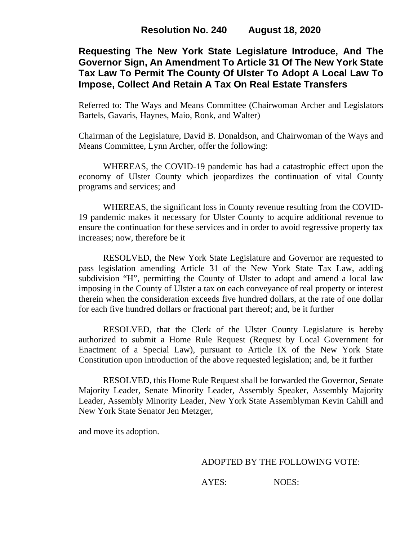# **Requesting The New York State Legislature Introduce, And The Governor Sign, An Amendment To Article 31 Of The New York State Tax Law To Permit The County Of Ulster To Adopt A Local Law To Impose, Collect And Retain A Tax On Real Estate Transfers**

Referred to: The Ways and Means Committee (Chairwoman Archer and Legislators Bartels, Gavaris, Haynes, Maio, Ronk, and Walter)

Chairman of the Legislature, David B. Donaldson, and Chairwoman of the Ways and Means Committee, Lynn Archer, offer the following:

WHEREAS, the COVID-19 pandemic has had a catastrophic effect upon the economy of Ulster County which jeopardizes the continuation of vital County programs and services; and

WHEREAS, the significant loss in County revenue resulting from the COVID-19 pandemic makes it necessary for Ulster County to acquire additional revenue to ensure the continuation for these services and in order to avoid regressive property tax increases; now, therefore be it

RESOLVED, the New York State Legislature and Governor are requested to pass legislation amending Article 31 of the New York State Tax Law, adding subdivision "H", permitting the County of Ulster to adopt and amend a local law imposing in the County of Ulster a tax on each conveyance of real property or interest therein when the consideration exceeds five hundred dollars, at the rate of one dollar for each five hundred dollars or fractional part thereof; and, be it further

RESOLVED, that the Clerk of the Ulster County Legislature is hereby authorized to submit a Home Rule Request (Request by Local Government for Enactment of a Special Law), pursuant to Article IX of the New York State Constitution upon introduction of the above requested legislation; and, be it further

RESOLVED, this Home Rule Request shall be forwarded the Governor, Senate Majority Leader, Senate Minority Leader, Assembly Speaker, Assembly Majority Leader, Assembly Minority Leader, New York State Assemblyman Kevin Cahill and New York State Senator Jen Metzger,

and move its adoption.

#### ADOPTED BY THE FOLLOWING VOTE:

AYES: NOES: